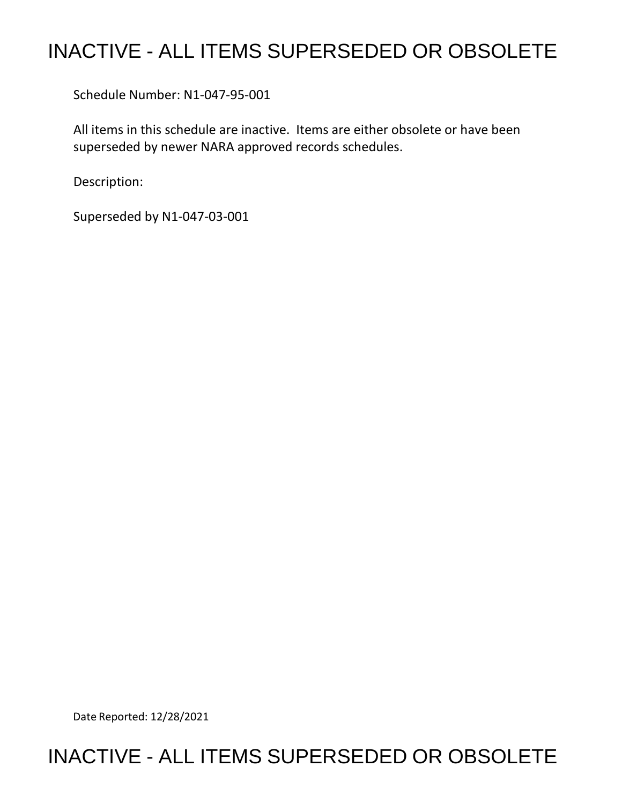# INACTIVE - ALL ITEMS SUPERSEDED OR OBSOLETE

Schedule Number: N1-047-95-001

 All items in this schedule are inactive. Items are either obsolete or have been superseded by newer NARA approved records schedules.

Description:

Superseded by N1-047-03-001

Date Reported: 12/28/2021

## INACTIVE - ALL ITEMS SUPERSEDED OR OBSOLETE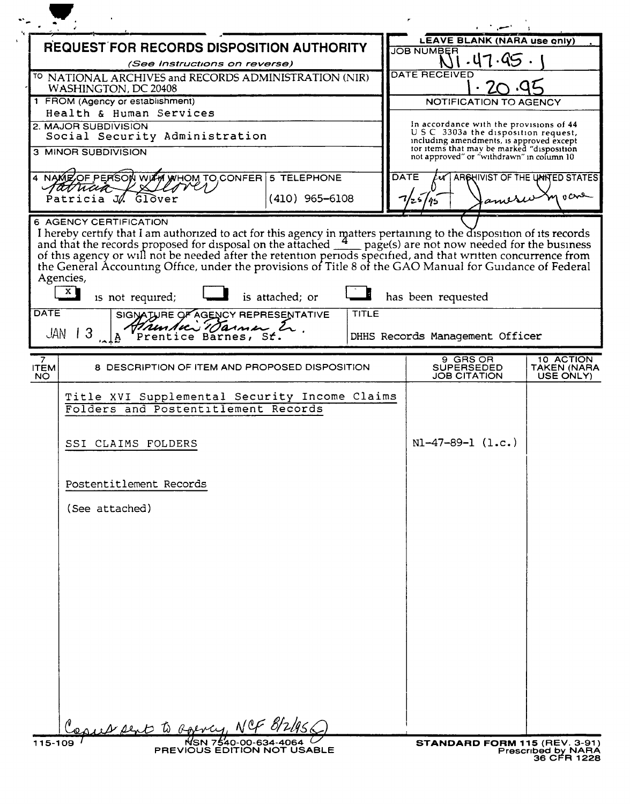|                                                             | <b>REQUEST FOR RECORDS DISPOSITION AUTHORITY</b>                                                                                                                                                                                      |                  |       | <b>LEAVE BLANK (NARA use only)</b>                                                     |                                       |
|-------------------------------------------------------------|---------------------------------------------------------------------------------------------------------------------------------------------------------------------------------------------------------------------------------------|------------------|-------|----------------------------------------------------------------------------------------|---------------------------------------|
|                                                             | (See Instructions on reverse)                                                                                                                                                                                                         |                  |       | <b>JOB NUMBER</b><br>-47.99                                                            |                                       |
|                                                             | <sup>TO</sup> NATIONAL ARCHIVES and RECORDS ADMINISTRATION (NIR)                                                                                                                                                                      |                  |       | DATE RECEIVED                                                                          |                                       |
| WASHINGTON, DC 20408                                        |                                                                                                                                                                                                                                       |                  |       |                                                                                        |                                       |
| 1 FROM (Agency or establishment)<br>Health & Human Services |                                                                                                                                                                                                                                       |                  |       | NOTIFICATION TO AGENCY                                                                 |                                       |
|                                                             | 2. MAJOR SUBDIVISION                                                                                                                                                                                                                  |                  |       | In accordance with the provisions of 44                                                |                                       |
|                                                             | Social Security Administration                                                                                                                                                                                                        |                  |       | U S C 3303a the disposition request,<br>including amendments, is approved except       |                                       |
|                                                             | <b>3 MINOR SUBDIVISION</b>                                                                                                                                                                                                            |                  |       | tor items that may be marked "disposition<br>not approved" or "withdrawn" in column 10 |                                       |
|                                                             | 4 NAME OF PERSON WITH WHOM TO CONFER 5 TELEPHONE                                                                                                                                                                                      |                  |       | <b>DATE</b><br>ARCHIVIST OF THE UNITED STATES                                          |                                       |
|                                                             | ratuaia<br>Glover<br>Patricia JA                                                                                                                                                                                                      | $(410)$ 965-6108 |       | amesu                                                                                  | m vane                                |
|                                                             | 6 AGENCY CERTIFICATION                                                                                                                                                                                                                |                  |       |                                                                                        |                                       |
|                                                             |                                                                                                                                                                                                                                       |                  |       |                                                                                        |                                       |
|                                                             |                                                                                                                                                                                                                                       |                  |       |                                                                                        |                                       |
|                                                             | I hereby certify that I am authorized to act for this agency in matters pertaining to the disposition of its records and that the records proposed for disposal on the attached $\frac{4}{\sqrt{2}}$ page(s) are not now needed for t |                  |       |                                                                                        |                                       |
| Agencies,                                                   |                                                                                                                                                                                                                                       |                  |       |                                                                                        |                                       |
| $\mathbf{x}$                                                | is not required;                                                                                                                                                                                                                      | is attached; or  |       | has been requested                                                                     |                                       |
| <b>DATE</b>                                                 | SIGNATURE OF AGENCY REPRESENTATIVE                                                                                                                                                                                                    |                  | TITLE |                                                                                        |                                       |
|                                                             | Hrunduis Tarmen Er.<br>$\perp$ 3                                                                                                                                                                                                      |                  |       |                                                                                        |                                       |
| JAN                                                         |                                                                                                                                                                                                                                       |                  |       | DHHS Records Management Officer                                                        |                                       |
|                                                             |                                                                                                                                                                                                                                       |                  |       |                                                                                        |                                       |
|                                                             |                                                                                                                                                                                                                                       |                  |       | 9 GRS OR                                                                               |                                       |
|                                                             | 8 DESCRIPTION OF ITEM AND PROPOSED DISPOSITION                                                                                                                                                                                        |                  |       | <b>SUPERSEDED</b><br><b>JOB CITATION</b>                                               |                                       |
|                                                             |                                                                                                                                                                                                                                       |                  |       |                                                                                        |                                       |
|                                                             | Title XVI Supplemental Security Income Claims                                                                                                                                                                                         |                  |       |                                                                                        |                                       |
|                                                             | Folders and Postentitlement Records                                                                                                                                                                                                   |                  |       |                                                                                        | 10 ACTION<br>TAKEN (NARA<br>USE ONLY) |
|                                                             |                                                                                                                                                                                                                                       |                  |       |                                                                                        |                                       |
|                                                             | SSI CLAIMS FOLDERS                                                                                                                                                                                                                    |                  |       | $NI-47-89-1 (l.c.)$                                                                    |                                       |
|                                                             |                                                                                                                                                                                                                                       |                  |       |                                                                                        |                                       |
|                                                             |                                                                                                                                                                                                                                       |                  |       |                                                                                        |                                       |
| NO.                                                         | Postentitlement Records                                                                                                                                                                                                               |                  |       |                                                                                        |                                       |
|                                                             |                                                                                                                                                                                                                                       |                  |       |                                                                                        |                                       |
|                                                             | (See attached)                                                                                                                                                                                                                        |                  |       |                                                                                        |                                       |
|                                                             |                                                                                                                                                                                                                                       |                  |       |                                                                                        |                                       |
|                                                             |                                                                                                                                                                                                                                       |                  |       |                                                                                        |                                       |
|                                                             |                                                                                                                                                                                                                                       |                  |       |                                                                                        |                                       |
|                                                             |                                                                                                                                                                                                                                       |                  |       |                                                                                        |                                       |
|                                                             |                                                                                                                                                                                                                                       |                  |       |                                                                                        |                                       |
|                                                             |                                                                                                                                                                                                                                       |                  |       |                                                                                        |                                       |
|                                                             |                                                                                                                                                                                                                                       |                  |       |                                                                                        |                                       |
|                                                             |                                                                                                                                                                                                                                       |                  |       |                                                                                        |                                       |
| <b>ITEM</b>                                                 |                                                                                                                                                                                                                                       |                  |       |                                                                                        |                                       |
|                                                             |                                                                                                                                                                                                                                       |                  |       |                                                                                        |                                       |
|                                                             |                                                                                                                                                                                                                                       |                  |       |                                                                                        |                                       |
|                                                             |                                                                                                                                                                                                                                       |                  |       |                                                                                        |                                       |
|                                                             |                                                                                                                                                                                                                                       |                  |       |                                                                                        |                                       |
|                                                             | rus pent to Roency, NCF 8/2                                                                                                                                                                                                           |                  |       |                                                                                        |                                       |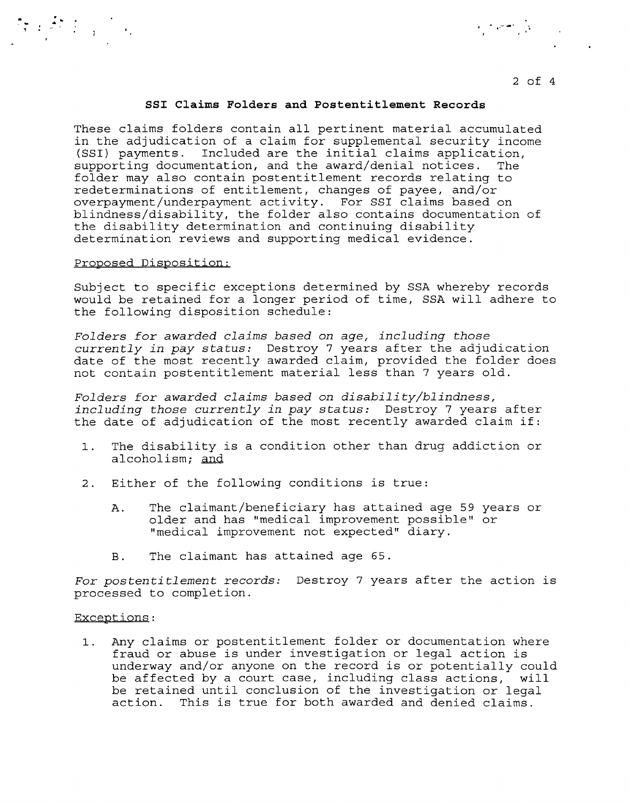### 2 of <sup>4</sup>

## **SSI Claims Folders and Postentitlement Records**

 $\mathcal{L}_\mathcal{S} = \mathcal{L}_\mathcal{S}$  . The set of the set of the set of the set of the set of the set of the set of the set of the set of the set of the set of the set of the set of the set of the set of the set of the set of the

These claims folders contain all pertinent material accumulated in the adjudication of a claim for supplemental security income (SSI) payments. Included are the initial claims application, supporting documentation, and the award/denial notices. The folder may also contain postentitlement records relating to redeterminations of entitlement, changes of payee, and/or overpayment/underpayment activity. For SSI claims based on blindness/disability, the folder also contains documentation of the disability determination and continuing disability determination reviews and supporting medical evidence.

#### Proposed Disposition:

Subject to specific exceptions determined by SSA whereby records would be retained for a longer period of time, SSA will adhere to the following disposition schedule:

*Folders for awarded claims based on age, including those currently in pay status:* Destroy 7 years after the adjudication date of the most recently awarded claim, provided the folder does not contain postentitlement material less than 7 years old.

*Folders for awarded claims based on disability/blindness, including those currently in pay status:* Destroy 7 years after the date of adjudication of the most recently awarded claim if:

- 1. The disability is a condition other than drug addiction or alcoholism; and
- 2. Either of the following conditions is true:
	- A. The claimant/beneficiary has attained age 59 years or older and has "medical improvement possible" or "medical improvement not expected" diary.
	- B. The claimant has attained age 65.

For *postentitlement records:* Destroy 7 years after the action is processed to completion.

#### Exceptions:

1. Any claims or postentitlement folder or documentation where fraud or abuse is under investigation or legal action is underway and/or anyone on the record is or potentially could be affected by a court case, including class actions, will be retained until conclusion of the investigation or legal action. This is true for both awarded and denied claims.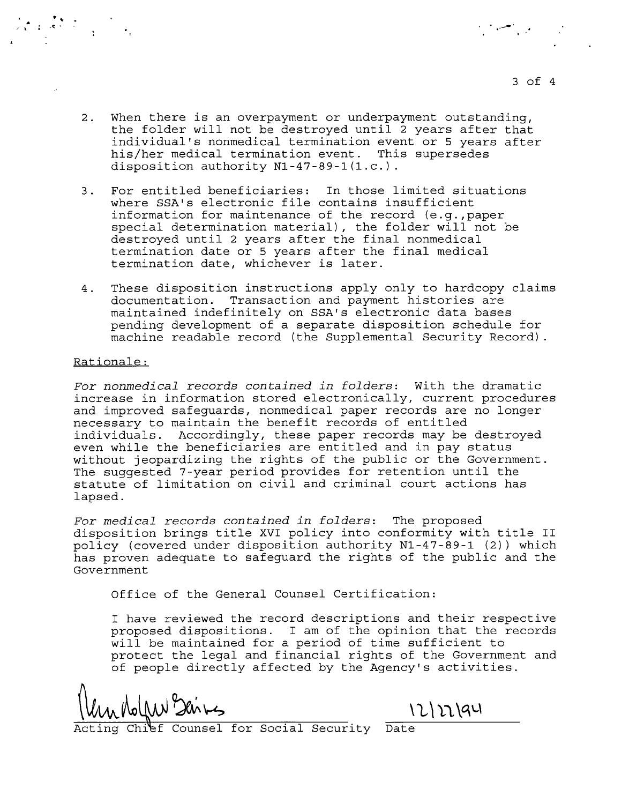2. When there is an overpayment or underpayment outstanding, the folder will not be destroyed until 2 years after that individual's nonmedical termination event or 5 years after his/her medical termination event. This supersedes disposition authority Nl-47-89-1(1.c.).

. The contract of the contract of the contract of the contract of the contract of the contract of the contract of the contract of the contract of the contract of the contract of the contract of the contract of the contrac

- 3. For entitled beneficiaries: In those limited situations where SSA's electronic file contains insufficient information for maintenance of the record (e.g.,paper special determination material), the folder will not be destroyed until 2 years after the final nonmedical termination date or 5 years after the final medical termination date, whichever is later.
- 4. These disposition instructions apply only to hardcopy claims documentation. Transaction and payment histories are maintained indefinitely on SSA's electronic data bases pending development of a separate disposition schedule for machine readable record (the Supplemental Security Record).

### Rationale:

*For nonmedical records contained in folders:* With the dramatic increase in information stored electronically, current procedures and improved safeguards, nonmedical paper records are no longer necessary to maintain the benefit records of entitled individuals. Accordingly, these paper records may be destroyed even while the beneficiaries are entitled and in pay status without jeopardizing the rights of the public or the Government. The suggested 7-year period provides for retention until the statute of limitation on civil and criminal court actions has lapsed.

*For medical records contained in folders:* The proposed disposition brings title XVI policy into conformity with title II policy (covered under disposition authority Nl-47-89-1 (2)) which has proven adequate to safeguard the rights of the public and the Government

Office of the General Counsel Certification:

I have reviewed the record descriptions and their respective proposed dispositions. I am of the opinion that the records will be maintained for a period of time sufficient to protect the legal and financial rights of the Government and of people directly affected by the Agency's activities.

 $\frac{1}{\frac{1}{\sqrt{1}}\sqrt{1}}$   $\frac{1}{\sqrt{1}}\sqrt{1}$   $\frac{1}{\sqrt{1}}\sqrt{1}$